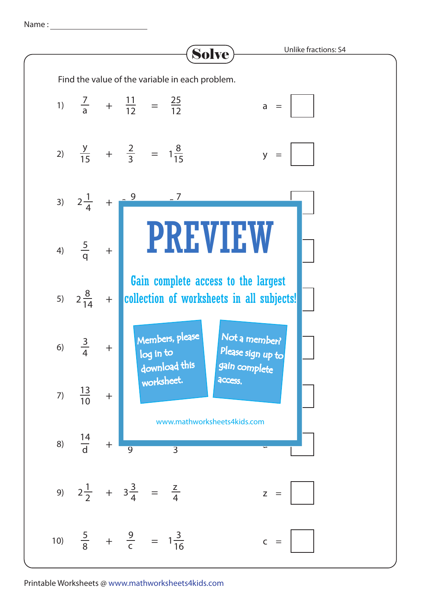Name :